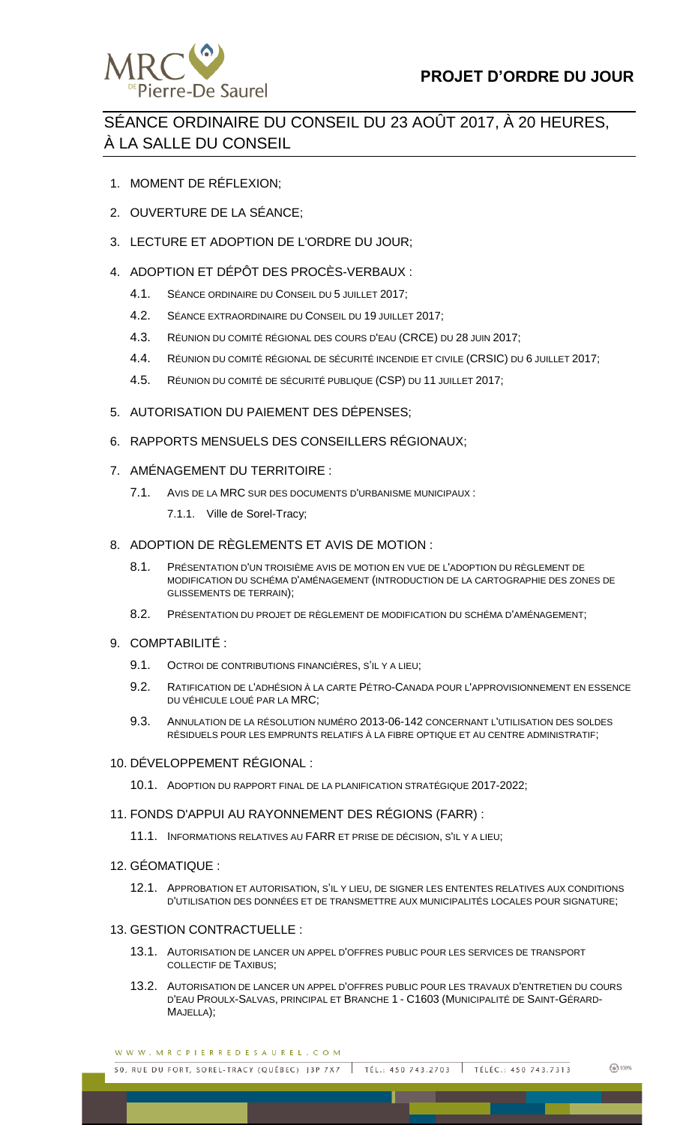

# SÉANCE ORDINAIRE DU CONSEIL DU 23 AOÛT 2017, À 20 HEURES, À LA SALLE DU CONSEIL

- 1. MOMENT DE RÉFLEXION;
- 2. OUVERTURE DE LA SÉANCE;
- 3. LECTURE ET ADOPTION DE L'ORDRE DU JOUR;
- 4. ADOPTION ET DÉPÔT DES PROCÈS-VERBAUX :
	- 4.1. SÉANCE ORDINAIRE DU CONSEIL DU 5 JUILLET 2017;
	- 4.2. SÉANCE EXTRAORDINAIRE DU CONSEIL DU 19 JUILLET 2017;
	- 4.3. RÉUNION DU COMITÉ RÉGIONAL DES COURS D'EAU (CRCE) DU 28 JUIN 2017;
	- 4.4. RÉUNION DU COMITÉ RÉGIONAL DE SÉCURITÉ INCENDIE ET CIVILE (CRSIC) DU 6 JUILLET 2017;
	- 4.5. RÉUNION DU COMITÉ DE SÉCURITÉ PUBLIQUE (CSP) DU 11 JUILLET 2017;
- 5. AUTORISATION DU PAIEMENT DES DÉPENSES;
- 6. RAPPORTS MENSUELS DES CONSEILLERS RÉGIONAUX;
- 7. AMÉNAGEMENT DU TERRITOIRE :
	- 7.1. AVIS DE LA MRC SUR DES DOCUMENTS D'URBANISME MUNICIPAUX :
		- 7.1.1. Ville de Sorel-Tracy;
- 8. ADOPTION DE RÈGLEMENTS ET AVIS DE MOTION :
	- 8.1. PRÉSENTATION D'UN TROISIÈME AVIS DE MOTION EN VUE DE L'ADOPTION DU RÈGLEMENT DE MODIFICATION DU SCHÉMA D'AMÉNAGEMENT (INTRODUCTION DE LA CARTOGRAPHIE DES ZONES DE GLISSEMENTS DE TERRAIN);
	- 8.2. PRÉSENTATION DU PROJET DE RÈGLEMENT DE MODIFICATION DU SCHÉMA D'AMÉNAGEMENT;
- 9. COMPTABILITÉ :
	- 9.1. OCTROI DE CONTRIBUTIONS FINANCIÈRES, S'IL Y A LIEU;
	- 9.2. RATIFICATION DE L'ADHÉSION À LA CARTE PÉTRO-CANADA POUR L'APPROVISIONNEMENT EN ESSENCE DU VÉHICULE LOUÉ PAR LA MRC;
	- 9.3. ANNULATION DE LA RÉSOLUTION NUMÉRO 2013-06-142 CONCERNANT L'UTILISATION DES SOLDES RÉSIDUELS POUR LES EMPRUNTS RELATIFS À LA FIBRE OPTIQUE ET AU CENTRE ADMINISTRATIF;

# 10. DÉVELOPPEMENT RÉGIONAL :

10.1. ADOPTION DU RAPPORT FINAL DE LA PLANIFICATION STRATÉGIQUE 2017-2022;

# 11. FONDS D'APPUI AU RAYONNEMENT DES RÉGIONS (FARR) :

- 11.1. INFORMATIONS RELATIVES AU FARR ET PRISE DE DÉCISION, S'IL Y A LIEU;
- 12. GÉOMATIQUE :
	- 12.1. APPROBATION ET AUTORISATION, S'IL Y LIEU, DE SIGNER LES ENTENTES RELATIVES AUX CONDITIONS D'UTILISATION DES DONNÉES ET DE TRANSMETTRE AUX MUNICIPALITÉS LOCALES POUR SIGNATURE;

# 13. GESTION CONTRACTUELLE :

- 13.1. AUTORISATION DE LANCER UN APPEL D'OFFRES PUBLIC POUR LES SERVICES DE TRANSPORT COLLECTIF DE TAXIBUS;
- 13.2. AUTORISATION DE LANCER UN APPEL D'OFFRES PUBLIC POUR LES TRAVAUX D'ENTRETIEN DU COURS D'EAU PROULX-SALVAS, PRINCIPAL ET BRANCHE 1 - C1603 (MUNICIPALITÉ DE SAINT-GÉRARD-MAJELLA);